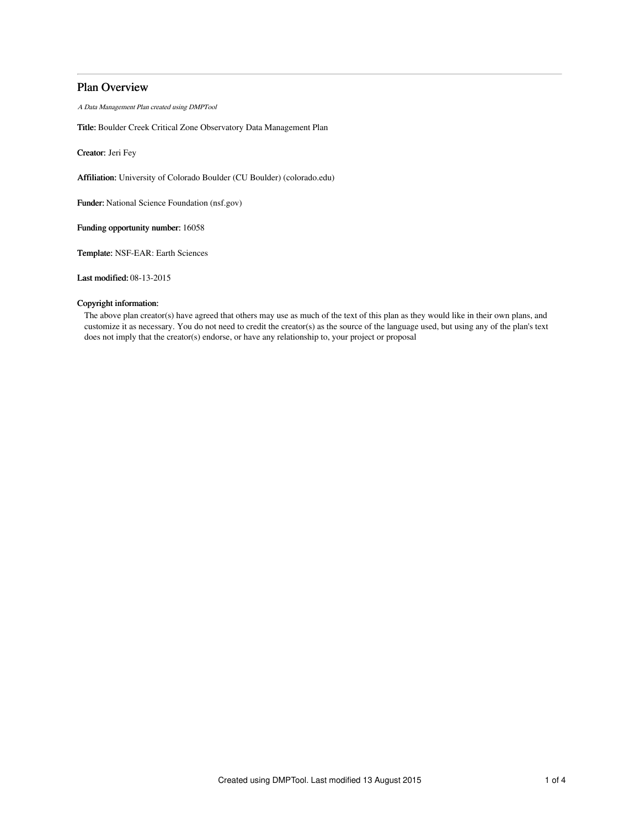# Plan Overview

A Data Management Plan created using DMPTool

Title: Boulder Creek Critical Zone Observatory Data Management Plan

Creator: Jeri Fey

Affiliation: University of Colorado Boulder (CU Boulder) (colorado.edu)

Funder: National Science Foundation (nsf.gov)

Funding opportunity number: 16058

Template: NSF-EAR: Earth Sciences

Last modified: 08-13-2015

## Copyright information:

The above plan creator(s) have agreed that others may use as much of the text of this plan as they would like in their own plans, and customize it as necessary. You do not need to credit the creator(s) as the source of the language used, but using any of the plan's text does not imply that the creator(s) endorse, or have any relationship to, your project or proposal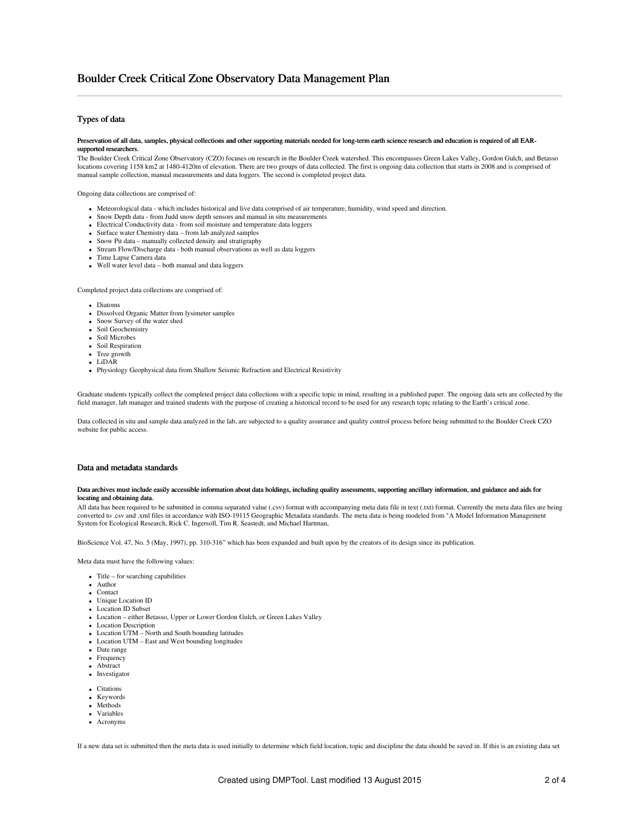## Types of data

#### Preservation of all data, samples, physical collections and other supporting materials needed for long-term earth science research and education is required of all EARsupported researchers.

The Boulder Creek Critical Zone Observatory (CZO) focuses on research in the Boulder Creek watershed. This encompasses Green Lakes Valley, Gordon Gulch, and Betasso locations covering 1158 km2 at 1480-4120m of elevation. There are two groups of data collected. The first is ongoing data collection that starts in 2008 and is comprised of manual sample collection, manual measurements and data loggers. The second is completed project data.

Ongoing data collections are comprised of:

- Meteorological data which includes historical and live data comprised of air temperature, humidity, wind speed and direction.
- Snow Depth data from Judd snow depth sensors and manual in situ measurements
- Electrical Conductivity data from soil moisture and temperature data loggers
- Surface water Chemistry data from lab analyzed samples
- Snow Pit data manually collected density and stratigraphy
- Stream Flow/Discharge data both manual observations as well as data loggers
- Time Lapse Camera data
- Well water level data both manual and data loggers

Completed project data collections are comprised of:

- **Diatoms**
- Dissolved Organic Matter from lysimeter samples
- Snow Survey of the water shed
- Soil Geochemistry
- Soil Microbes
- Soil Respiration
- Tree growth
- LiDAR
- Physiology Geophysical data from Shallow Seismic Refraction and Electrical Resistivity

Graduate students typically collect the completed project data collections with a specific topic in mind, resulting in a published paper. The ongoing data sets are collected by the field manager, lab manager and trained students with the purpose of creating a historical record to be used for any research topic relating to the Earth's critical zone.

Data collected in situ and sample data analyzed in the lab, are subjected to a quality assurance and quality control process before being submitted to the Boulder Creek CZO website for public access.

### Data and metadata standards

#### Data archives must include easily accessible information about data holdings, including quality assessments, supporting ancillary information, and guidance and aids for locating and obtaining data.

All data has been required to be submitted in comma separated value (.csv) format with accompanying meta data file in text (.txt) format. Currently the meta data files are being converted to .csv and .xml files in accordance with ISO-19115 Geographic Metadata standards. The meta data is being modeled from "A Model Information Management System for Ecological Research, Rick C. Ingersoll, Tim R. Seastedt, and Michael Hartman,

BioScience Vol. 47, No. 5 (May, 1997), pp. 310-316" which has been expanded and built upon by the creators of its design since its publication.

Meta data must have the following values:

- $\bullet$  Title for searching capabilities
- Author
- Contact
- Unique Location ID
- Location ID Subset
- Location either Betasso, Upper or Lower Gordon Gulch, or Green Lakes Valley
- Location Description
- Location UTM North and South bounding latitudes
- Location UTM East and West bounding longitudes
- Date range
- Frequency **Abstract**
- Investigator
- 
- Citations
- Keywords • Methods
- Variables
- Acronyms

If a new data set is submitted then the meta data is used initially to determine which field location, topic and discipline the data should be saved in. If this is an existing data set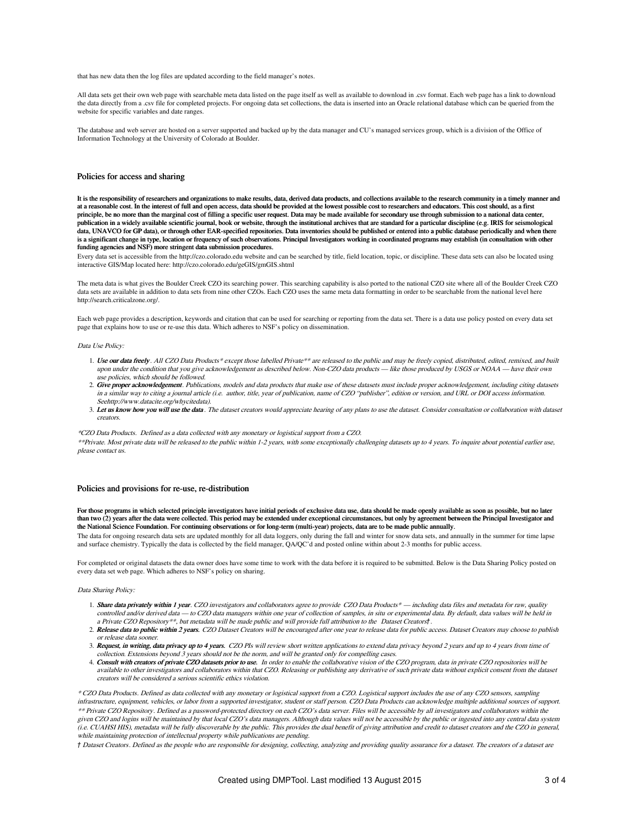that has new data then the log files are updated according to the field manager's notes.

All data sets get their own web page with searchable meta data listed on the page itself as well as available to download in .csv format. Each web page has a link to download the data directly from a .csv file for completed projects. For ongoing data set collections, the data is inserted into an Oracle relational database which can be queried from the website for specific variables and date ranges.

The database and web server are hosted on a server supported and backed up by the data manager and CU's managed services group, which is a division of the Office of Information Technology at the University of Colorado at Boulder.

### Policies for access and sharing

It is the responsibility of researchers and organizations to make results, data, derived data products, and collections available to the research community in a timely manual at a reasonable cost. In the interest of full and open access, data should be provided at the lowest possible cost to researchers and educators. This cost should, as a first principle, be no more than the marginal cost of filling a specific user request. Data may be made available for secondary use through submission to a national data center publication in a widely available scientific journal, book or website, through the institutional archives that are standard for a particular discipline (e.g. IRIS for seismological data, UNAVCO for GP data), or through other EAR-specified repositories. Data inventories should be published or entered into a public database periodically and when there is a significant change in type, location or frequency of such observations. Principal Investigators working in coordinated programs may establish (in consultation with other funding agencies and NSF) more stringent data submission procedures.

Every data set is accessible from the http://czo.colorado.edu website and can be searched by title, field location, topic, or discipline. These data sets can also be located using interactive GIS/Map located here: http://czo.colorado.edu/geGIS/gmGIS.shtml

The meta data is what gives the Boulder Creek CZO its searching power. This searching capability is also ported to the national CZO site where all of the Boulder Creek CZO data sets are available in addition to data sets from nine other CZOs. Each CZO uses the same meta data formatting in order to be searchable from the national level here http://search.criticalzone.org/.

Each web page provides a description, keywords and citation that can be used for searching or reporting from the data set. There is a data use policy posted on every data set page that explains how to use or re-use this data. Which adheres to NSF's policy on dissemination.

#### Data Use Policy:

- 1. Use our data freely. All CZO Data Products\* except those labelled Private\*\* are released to the public and may be freely copied, distributed, edited, remixed, and built upon under the condition that you give acknowledgement as described below. Non-CZO data products — like those produced by USGS or NOAA — have their own use policies, which should be followed.
- 2. Give proper acknowledgement. Publications, models and data products that make use of these datasets must include proper acknowledgement, including citing datasets in <sup>a</sup> similar way to citing <sup>a</sup> journal article (i.e. author, title, year of publication, name of CZO "publisher", edition or version, and URL or DOI access information. Seehttp://www.datacite.org/whycitedata).
- 3. Let us know how you will use the data. The dataset creators would appreciate hearing of any plans to use the dataset. Consider consultation or collaboration with dataset creators.

#### \*CZO Data Products. Defined as <sup>a</sup> data collected with any monetary or logistical support from <sup>a</sup> CZO.

\*\*Private. Most private data will be released to the public within 1-2 years, with some exceptionally challenging datasets up to 4 years. To inquire about potential earlier use, please contact us.

### Policies and provisions for re-use, re-distribution

For those programs in which selected principle investigators have initial periods of exclusive data use, data should be made openly available as soon as possible, but no later than two (2) years after the data were collected. This period may be extended under exceptional circumstances, but only by agreement between the Principal Investigator and the National Science Foundation. For continuing observations or for long-term (multi-year) projects, data are to be made public annually.

The data for ongoing research data sets are updated monthly for all data loggers, only during the fall and winter for snow data sets, and annually in the summer for time lapse and surface chemistry. Typically the data is collected by the field manager, QA/QC'd and posted online within about 2-3 months for public access.

For completed or original datasets the data owner does have some time to work with the data before it is required to be submitted. Below is the Data Sharing Policy posted on every data set web page. Which adheres to NSF's policy on sharing.

#### Data Sharing Policy:

- 1. Share data privately within 1 year. CZO investigators and collaborators agree to provide CZO Data Products\* including data files and metadata for raw, quality controlled and/or derived data — to CZO data managers within one year of collection of samples, in situ or experimental data. By default, data values will be held in <sup>a</sup> Private CZO Repository\*\*, but metadata will be made public and will provide full attribution to the Dataset Creators†.
- 2. Release data to public within 2 years. CZO Dataset Creators will be encouraged after one year to release data for public access. Dataset Creators may choose to publish or release data sooner.
- 3. Request, in writing, data privacy up to 4 years. CZO PIs will review short written applications to extend data privacy beyond 2 years and up to 4 years from time of collection. Extensions beyond 3 years should not be the norm, and will be granted only for compelling cases.
- 4. Consult with creators of private CZO datasets prior to use. In order to enable the collaborative vision of the CZO program, data in private CZO repositories will be available to other investigators and collaborators within that CZO. Releasing or publishing any derivative of such private data without explicit consent from the dataset creators will be considered <sup>a</sup> serious scientific ethics violation.

\* CZO Data Products. Defined as data collected with any monetary or logistical support from <sup>a</sup> CZO. Logistical support includes the use of any CZO sensors, sampling infrastructure, equipment, vehicles, or labor from <sup>a</sup> supported investigator, student or staff person. CZO Data Products can acknowledge multiple additional sources of support. \*\* Private CZO Repository. Defined as <sup>a</sup> password-protected directory on each CZO's data server. Files will be accessible by all investigators and collaborators within the given CZO and logins will be maintained by that local CZO's data managers. Although data values will not be accessible by the public or ingested into any central data system (i.e. CUAHSI HIS), metadata will be fully discoverable by the public. This provides the dual benefit of giving attribution and credit to dataset creators and the CZO in general, while maintaining protection of intellectual property while publications are pending.

† Dataset Creators. Defined as the people who are responsible for designing, collecting, analyzing and providing quality assurance for <sup>a</sup> dataset. The creators of <sup>a</sup> dataset are